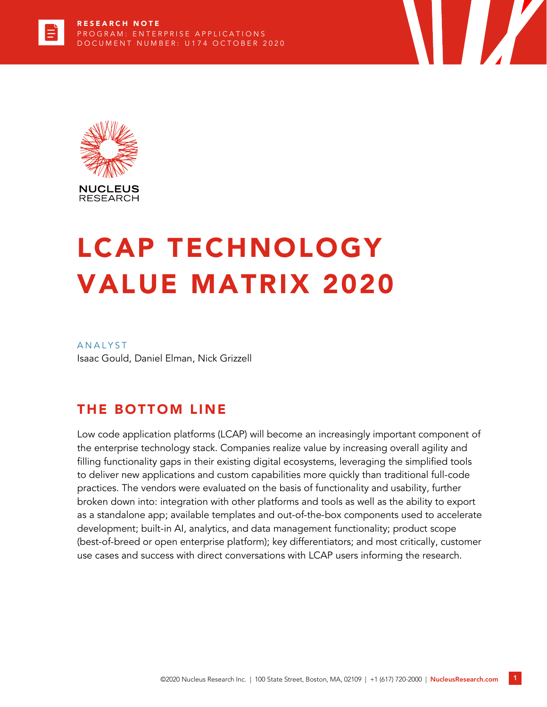

# LCAP TECHNOLOGY VALUE MATRIX 2020

**ANALYST** Isaac Gould, Daniel Elman, Nick Grizzell

# THE BOTTOM LINE

Low code application platforms (LCAP) will become an increasingly important component of the enterprise technology stack. Companies realize value by increasing overall agility and filling functionality gaps in their existing digital ecosystems, leveraging the simplified tools to deliver new applications and custom capabilities more quickly than traditional full-code practices. The vendors were evaluated on the basis of functionality and usability, further broken down into: integration with other platforms and tools as well as the ability to export as a standalone app; available templates and out-of-the-box components used to accelerate development; built-in AI, analytics, and data management functionality; product scope (best-of-breed or open enterprise platform); key differentiators; and most critically, customer use cases and success with direct conversations with LCAP users informing the research.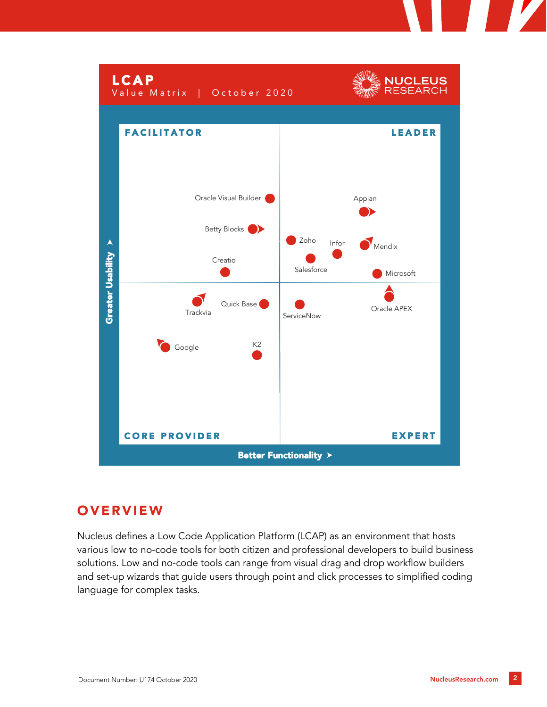

# **OVERVIEW**

Nucleus defines a Low Code Application Platform (LCAP) as an environment that hosts various low to no-code tools for both citizen and professional developers to build business solutions. Low and no-code tools can range from visual drag and drop workflow builders and set-up wizards that guide users through point and click processes to simplified coding language for complex tasks.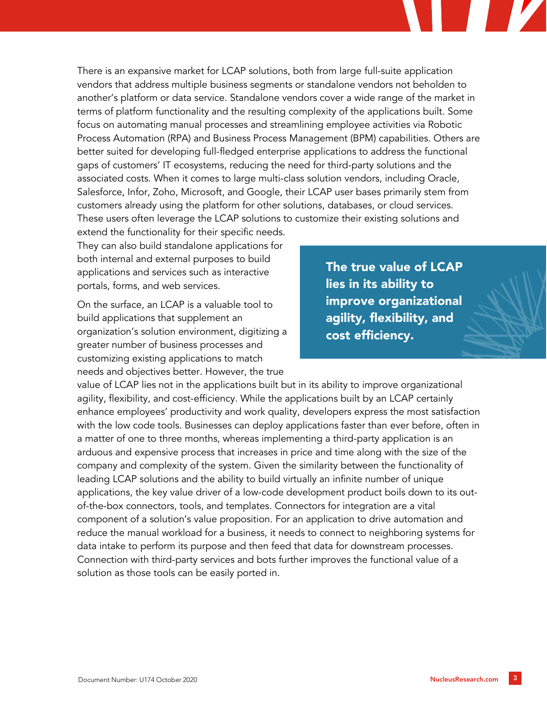There is an expansive market for LCAP solutions, both from large full-suite application vendors that address multiple business segments or standalone vendors not beholden to another's platform or data service. Standalone vendors cover a wide range of the market in terms of platform functionality and the resulting complexity of the applications built. Some focus on automating manual processes and streamlining employee activities via Robotic Process Automation (RPA) and Business Process Management (BPM) capabilities. Others are better suited for developing full-fledged enterprise applications to address the functional gaps of customers' IT ecosystems, reducing the need for third-party solutions and the associated costs. When it comes to large multi-class solution vendors, including Oracle, Salesforce, Infor, Zoho, Microsoft, and Google, their LCAP user bases primarily stem from customers already using the platform for other solutions, databases, or cloud services. These users often leverage the LCAP solutions to customize their existing solutions and

extend the functionality for their specific needs. They can also build standalone applications for both internal and external purposes to build applications and services such as interactive portals, forms, and web services.

On the surface, an LCAP is a valuable tool to build applications that supplement an organization's solution environment, digitizing a greater number of business processes and customizing existing applications to match needs and objectives better. However, the true

The true value of LCAP lies in its ability to improve organizational agility, flexibility, and cost efficiency.

value of LCAP lies not in the applications built but in its ability to improve organizational agility, flexibility, and cost-efficiency. While the applications built by an LCAP certainly enhance employees' productivity and work quality, developers express the most satisfaction with the low code tools. Businesses can deploy applications faster than ever before, often in a matter of one to three months, whereas implementing a third-party application is an arduous and expensive process that increases in price and time along with the size of the company and complexity of the system. Given the similarity between the functionality of leading LCAP solutions and the ability to build virtually an infinite number of unique applications, the key value driver of a low-code development product boils down to its outof-the-box connectors, tools, and templates. Connectors for integration are a vital component of a solution's value proposition. For an application to drive automation and reduce the manual workload for a business, it needs to connect to neighboring systems for data intake to perform its purpose and then feed that data for downstream processes. Connection with third-party services and bots further improves the functional value of a solution as those tools can be easily ported in.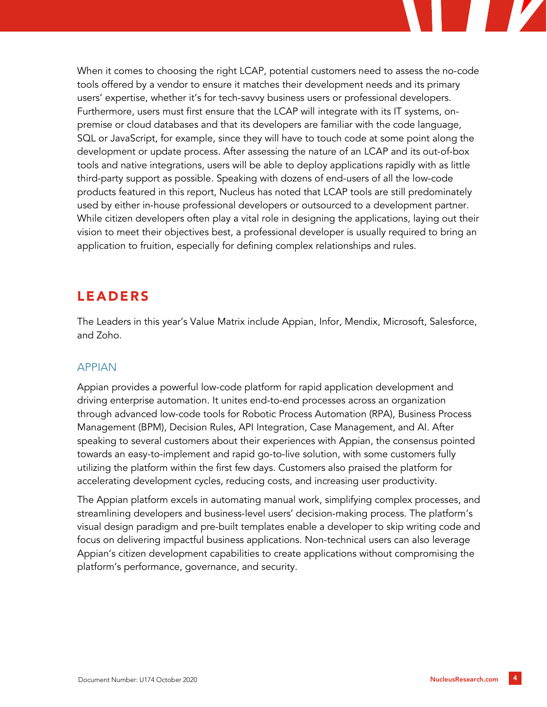When it comes to choosing the right LCAP, potential customers need to assess the no-code tools offered by a vendor to ensure it matches their development needs and its primary users' expertise, whether it's for tech-savvy business users or professional developers. Furthermore, users must first ensure that the LCAP will integrate with its IT systems, onpremise or cloud databases and that its developers are familiar with the code language, SQL or JavaScript, for example, since they will have to touch code at some point along the development or update process. After assessing the nature of an LCAP and its out-of-box tools and native integrations, users will be able to deploy applications rapidly with as little third-party support as possible. Speaking with dozens of end-users of all the low-code products featured in this report, Nucleus has noted that LCAP tools are still predominately used by either in-house professional developers or outsourced to a development partner. While citizen developers often play a vital role in designing the applications, laying out their vision to meet their objectives best, a professional developer is usually required to bring an application to fruition, especially for defining complex relationships and rules.

# LEADERS

The Leaders in this year's Value Matrix include Appian, Infor, Mendix, Microsoft, Salesforce, and Zoho.

## APPIAN

Appian provides a powerful low-code platform for rapid application development and driving enterprise automation. It unites end-to-end processes across an organization through advanced low-code tools for Robotic Process Automation (RPA), Business Process Management (BPM), Decision Rules, API Integration, Case Management, and AI. After speaking to several customers about their experiences with Appian, the consensus pointed towards an easy-to-implement and rapid go-to-live solution, with some customers fully utilizing the platform within the first few days. Customers also praised the platform for accelerating development cycles, reducing costs, and increasing user productivity.

The Appian platform excels in automating manual work, simplifying complex processes, and streamlining developers and business-level users' decision-making process. The platform's visual design paradigm and pre-built templates enable a developer to skip writing code and focus on delivering impactful business applications. Non-technical users can also leverage Appian's citizen development capabilities to create applications without compromising the platform's performance, governance, and security.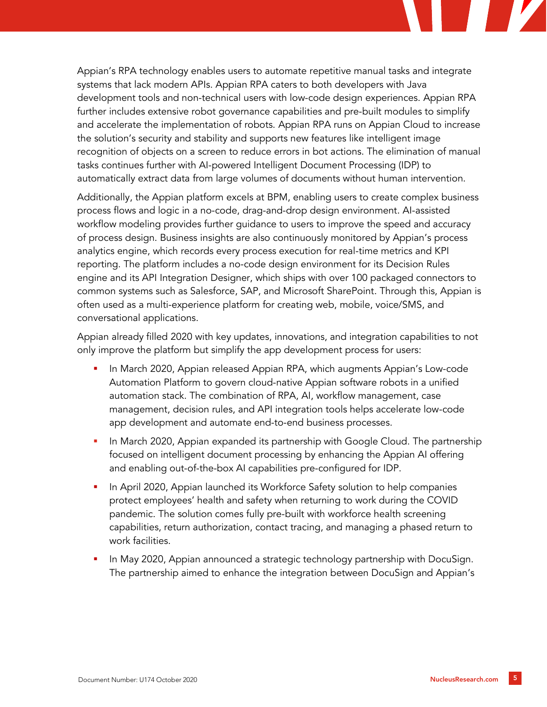Appian's RPA technology enables users to automate repetitive manual tasks and integrate systems that lack modern APIs. Appian RPA caters to both developers with Java development tools and non-technical users with low-code design experiences. Appian RPA further includes extensive robot governance capabilities and pre-built modules to simplify and accelerate the implementation of robots. Appian RPA runs on Appian Cloud to increase the solution's security and stability and supports new features like intelligent image recognition of objects on a screen to reduce errors in bot actions. The elimination of manual tasks continues further with AI-powered Intelligent Document Processing (IDP) to automatically extract data from large volumes of documents without human intervention.

Additionally, the Appian platform excels at BPM, enabling users to create complex business process flows and logic in a no-code, drag-and-drop design environment. AI-assisted workflow modeling provides further guidance to users to improve the speed and accuracy of process design. Business insights are also continuously monitored by Appian's process analytics engine, which records every process execution for real-time metrics and KPI reporting. The platform includes a no-code design environment for its Decision Rules engine and its API Integration Designer, which ships with over 100 packaged connectors to common systems such as Salesforce, SAP, and Microsoft SharePoint. Through this, Appian is often used as a multi-experience platform for creating web, mobile, voice/SMS, and conversational applications.

Appian already filled 2020 with key updates, innovations, and integration capabilities to not only improve the platform but simplify the app development process for users:

- In March 2020, Appian released Appian RPA, which augments Appian's Low-code Automation Platform to govern cloud-native Appian software robots in a unified automation stack. The combination of RPA, AI, workflow management, case management, decision rules, and API integration tools helps accelerate low-code app development and automate end-to-end business processes.
- In March 2020, Appian expanded its partnership with Google Cloud. The partnership focused on intelligent document processing by enhancing the Appian AI offering and enabling out-of-the-box AI capabilities pre-configured for IDP.
- In April 2020, Appian launched its Workforce Safety solution to help companies protect employees' health and safety when returning to work during the COVID pandemic. The solution comes fully pre-built with workforce health screening capabilities, return authorization, contact tracing, and managing a phased return to work facilities.
- In May 2020, Appian announced a strategic technology partnership with DocuSign. The partnership aimed to enhance the integration between DocuSign and Appian's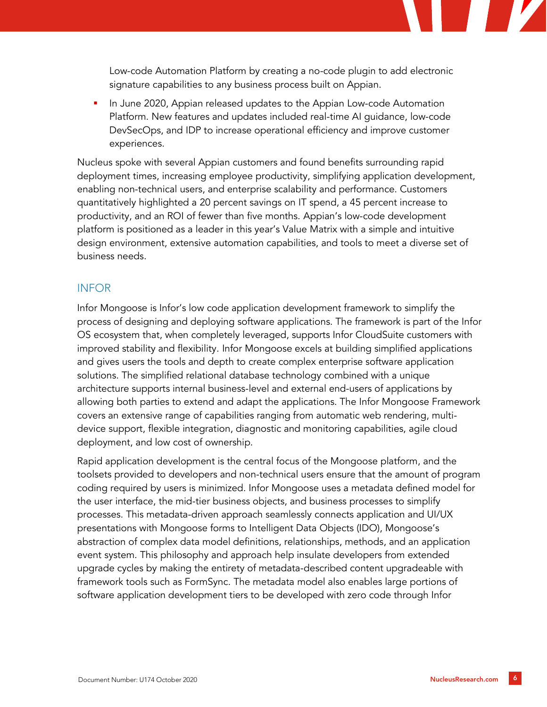Low-code Automation Platform by creating a no-code plugin to add electronic signature capabilities to any business process built on Appian.

**In June 2020, Appian released updates to the Appian Low-code Automation** Platform. New features and updates included real-time AI guidance, low-code DevSecOps, and IDP to increase operational efficiency and improve customer experiences.

Nucleus spoke with several Appian customers and found benefits surrounding rapid deployment times, increasing employee productivity, simplifying application development, enabling non-technical users, and enterprise scalability and performance. Customers quantitatively highlighted a 20 percent savings on IT spend, a 45 percent increase to productivity, and an ROI of fewer than five months. Appian's low-code development platform is positioned as a leader in this year's Value Matrix with a simple and intuitive design environment, extensive automation capabilities, and tools to meet a diverse set of business needs.

#### INFOR

Infor Mongoose is Infor's low code application development framework to simplify the process of designing and deploying software applications. The framework is part of the Infor OS ecosystem that, when completely leveraged, supports Infor CloudSuite customers with improved stability and flexibility. Infor Mongoose excels at building simplified applications and gives users the tools and depth to create complex enterprise software application solutions. The simplified relational database technology combined with a unique architecture supports internal business-level and external end-users of applications by allowing both parties to extend and adapt the applications. The Infor Mongoose Framework covers an extensive range of capabilities ranging from automatic web rendering, multidevice support, flexible integration, diagnostic and monitoring capabilities, agile cloud deployment, and low cost of ownership.

Rapid application development is the central focus of the Mongoose platform, and the toolsets provided to developers and non-technical users ensure that the amount of program coding required by users is minimized. Infor Mongoose uses a metadata defined model for the user interface, the mid-tier business objects, and business processes to simplify processes. This metadata-driven approach seamlessly connects application and UI/UX presentations with Mongoose forms to Intelligent Data Objects (IDO), Mongoose's abstraction of complex data model definitions, relationships, methods, and an application event system. This philosophy and approach help insulate developers from extended upgrade cycles by making the entirety of metadata-described content upgradeable with framework tools such as FormSync. The metadata model also enables large portions of software application development tiers to be developed with zero code through Infor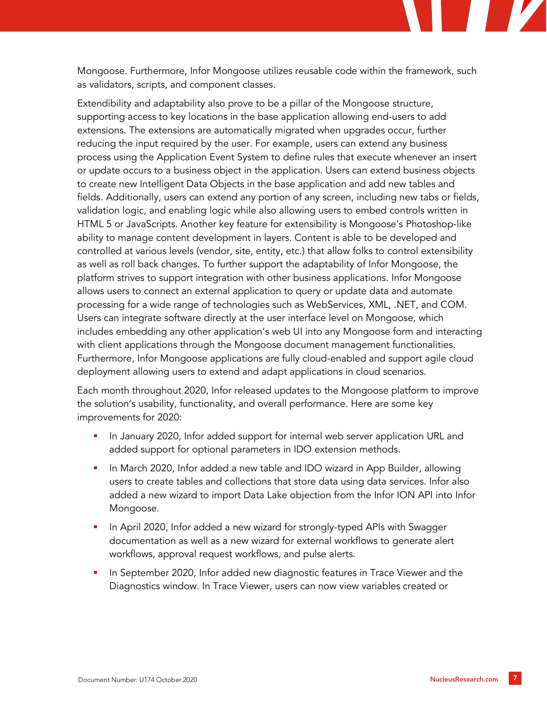Mongoose. Furthermore, Infor Mongoose utilizes reusable code within the framework, such as validators, scripts, and component classes.

Extendibility and adaptability also prove to be a pillar of the Mongoose structure, supporting access to key locations in the base application allowing end-users to add extensions. The extensions are automatically migrated when upgrades occur, further reducing the input required by the user. For example, users can extend any business process using the Application Event System to define rules that execute whenever an insert or update occurs to a business object in the application. Users can extend business objects to create new Intelligent Data Objects in the base application and add new tables and fields. Additionally, users can extend any portion of any screen, including new tabs or fields, validation logic, and enabling logic while also allowing users to embed controls written in HTML 5 or JavaScripts. Another key feature for extensibility is Mongoose's Photoshop-like ability to manage content development in layers. Content is able to be developed and controlled at various levels (vendor, site, entity, etc.) that allow folks to control extensibility as well as roll back changes. To further support the adaptability of Infor Mongoose, the platform strives to support integration with other business applications. Infor Mongoose allows users to connect an external application to query or update data and automate processing for a wide range of technologies such as WebServices, XML, .NET, and COM. Users can integrate software directly at the user interface level on Mongoose, which includes embedding any other application's web UI into any Mongoose form and interacting with client applications through the Mongoose document management functionalities. Furthermore, Infor Mongoose applications are fully cloud-enabled and support agile cloud deployment allowing users to extend and adapt applications in cloud scenarios.

Each month throughout 2020, Infor released updates to the Mongoose platform to improve the solution's usability, functionality, and overall performance. Here are some key improvements for 2020:

- In January 2020, Infor added support for internal web server application URL and added support for optional parameters in IDO extension methods.
- In March 2020, Infor added a new table and IDO wizard in App Builder, allowing users to create tables and collections that store data using data services. Infor also added a new wizard to import Data Lake objection from the Infor ION API into Infor Mongoose.
- In April 2020, Infor added a new wizard for strongly-typed APIs with Swagger documentation as well as a new wizard for external workflows to generate alert workflows, approval request workflows, and pulse alerts.
- In September 2020, Infor added new diagnostic features in Trace Viewer and the Diagnostics window. In Trace Viewer, users can now view variables created or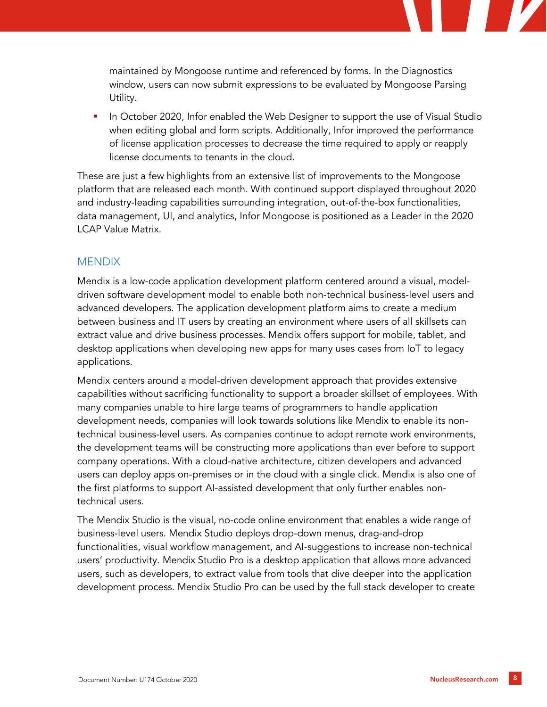

 In October 2020, Infor enabled the Web Designer to support the use of Visual Studio when editing global and form scripts. Additionally, Infor improved the performance of license application processes to decrease the time required to apply or reapply license documents to tenants in the cloud.

These are just a few highlights from an extensive list of improvements to the Mongoose platform that are released each month. With continued support displayed throughout 2020 and industry-leading capabilities surrounding integration, out-of-the-box functionalities, data management, UI, and analytics, Infor Mongoose is positioned as a Leader in the 2020 LCAP Value Matrix.

#### **MENDIX**

Mendix is a low-code application development platform centered around a visual, modeldriven software development model to enable both non-technical business-level users and advanced developers. The application development platform aims to create a medium between business and IT users by creating an environment where users of all skillsets can extract value and drive business processes. Mendix offers support for mobile, tablet, and desktop applications when developing new apps for many uses cases from IoT to legacy applications.

Mendix centers around a model-driven development approach that provides extensive capabilities without sacrificing functionality to support a broader skillset of employees. With many companies unable to hire large teams of programmers to handle application development needs, companies will look towards solutions like Mendix to enable its nontechnical business-level users. As companies continue to adopt remote work environments, the development teams will be constructing more applications than ever before to support company operations. With a cloud-native architecture, citizen developers and advanced users can deploy apps on-premises or in the cloud with a single click. Mendix is also one of the first platforms to support AI-assisted development that only further enables nontechnical users.

The Mendix Studio is the visual, no-code online environment that enables a wide range of business-level users. Mendix Studio deploys drop-down menus, drag-and-drop functionalities, visual workflow management, and AI-suggestions to increase non-technical users' productivity. Mendix Studio Pro is a desktop application that allows more advanced users, such as developers, to extract value from tools that dive deeper into the application development process. Mendix Studio Pro can be used by the full stack developer to create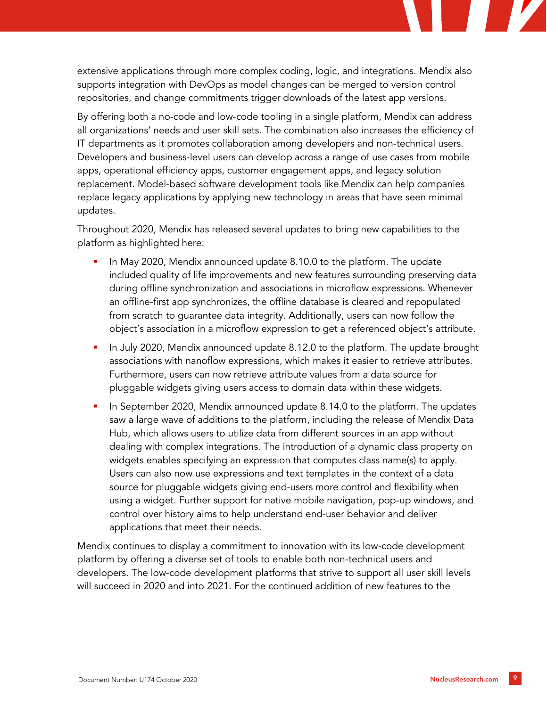extensive applications through more complex coding, logic, and integrations. Mendix also supports integration with DevOps as model changes can be merged to version control repositories, and change commitments trigger downloads of the latest app versions.

By offering both a no-code and low-code tooling in a single platform, Mendix can address all organizations' needs and user skill sets. The combination also increases the efficiency of IT departments as it promotes collaboration among developers and non-technical users. Developers and business-level users can develop across a range of use cases from mobile apps, operational efficiency apps, customer engagement apps, and legacy solution replacement. Model-based software development tools like Mendix can help companies replace legacy applications by applying new technology in areas that have seen minimal updates.

Throughout 2020, Mendix has released several updates to bring new capabilities to the platform as highlighted here:

- In May 2020, Mendix announced update 8.10.0 to the platform. The update included quality of life improvements and new features surrounding preserving data during offline synchronization and associations in microflow expressions. Whenever an offline-first app synchronizes, the offline database is cleared and repopulated from scratch to guarantee data integrity. Additionally, users can now follow the object's association in a microflow expression to get a referenced object's attribute.
- In July 2020, Mendix announced update 8.12.0 to the platform. The update brought associations with nanoflow expressions, which makes it easier to retrieve attributes. Furthermore, users can now retrieve attribute values from a data source for pluggable widgets giving users access to domain data within these widgets.
- In September 2020, Mendix announced update 8.14.0 to the platform. The updates saw a large wave of additions to the platform, including the release of Mendix Data Hub, which allows users to utilize data from different sources in an app without dealing with complex integrations. The introduction of a dynamic class property on widgets enables specifying an expression that computes class name(s) to apply. Users can also now use expressions and text templates in the context of a data source for pluggable widgets giving end-users more control and flexibility when using a widget. Further support for native mobile navigation, pop-up windows, and control over history aims to help understand end-user behavior and deliver applications that meet their needs.

Mendix continues to display a commitment to innovation with its low-code development platform by offering a diverse set of tools to enable both non-technical users and developers. The low-code development platforms that strive to support all user skill levels will succeed in 2020 and into 2021. For the continued addition of new features to the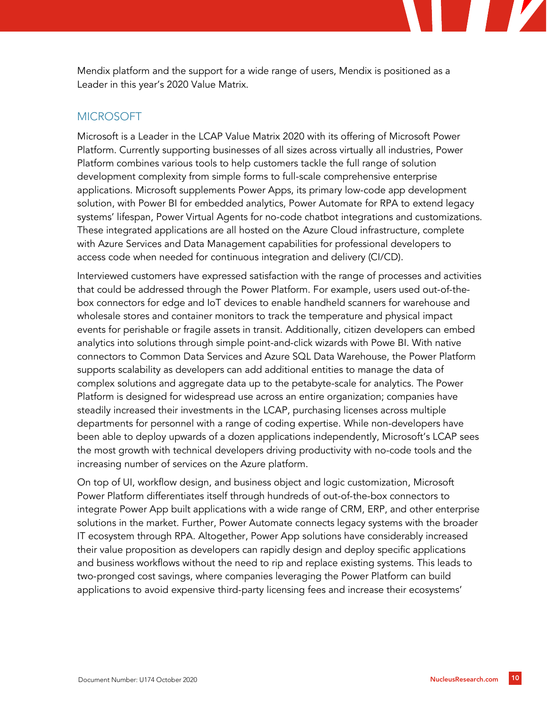Mendix platform and the support for a wide range of users, Mendix is positioned as a Leader in this year's 2020 Value Matrix.

#### **MICROSOFT**

Microsoft is a Leader in the LCAP Value Matrix 2020 with its offering of Microsoft Power Platform. Currently supporting businesses of all sizes across virtually all industries, Power Platform combines various tools to help customers tackle the full range of solution development complexity from simple forms to full-scale comprehensive enterprise applications. Microsoft supplements Power Apps, its primary low-code app development solution, with Power BI for embedded analytics, Power Automate for RPA to extend legacy systems' lifespan, Power Virtual Agents for no-code chatbot integrations and customizations. These integrated applications are all hosted on the Azure Cloud infrastructure, complete with Azure Services and Data Management capabilities for professional developers to access code when needed for continuous integration and delivery (CI/CD).

Interviewed customers have expressed satisfaction with the range of processes and activities that could be addressed through the Power Platform. For example, users used out-of-thebox connectors for edge and IoT devices to enable handheld scanners for warehouse and wholesale stores and container monitors to track the temperature and physical impact events for perishable or fragile assets in transit. Additionally, citizen developers can embed analytics into solutions through simple point-and-click wizards with Powe BI. With native connectors to Common Data Services and Azure SQL Data Warehouse, the Power Platform supports scalability as developers can add additional entities to manage the data of complex solutions and aggregate data up to the petabyte-scale for analytics. The Power Platform is designed for widespread use across an entire organization; companies have steadily increased their investments in the LCAP, purchasing licenses across multiple departments for personnel with a range of coding expertise. While non-developers have been able to deploy upwards of a dozen applications independently, Microsoft's LCAP sees the most growth with technical developers driving productivity with no-code tools and the increasing number of services on the Azure platform.

On top of UI, workflow design, and business object and logic customization, Microsoft Power Platform differentiates itself through hundreds of out-of-the-box connectors to integrate Power App built applications with a wide range of CRM, ERP, and other enterprise solutions in the market. Further, Power Automate connects legacy systems with the broader IT ecosystem through RPA. Altogether, Power App solutions have considerably increased their value proposition as developers can rapidly design and deploy specific applications and business workflows without the need to rip and replace existing systems. This leads to two-pronged cost savings, where companies leveraging the Power Platform can build applications to avoid expensive third-party licensing fees and increase their ecosystems'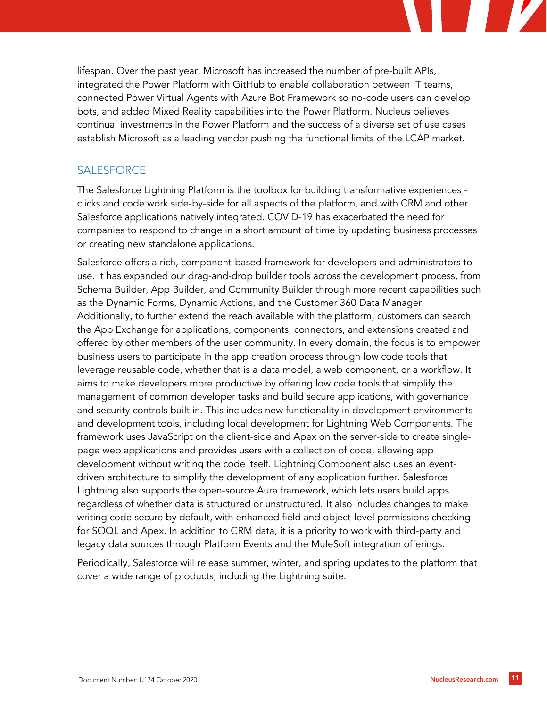lifespan. Over the past year, Microsoft has increased the number of pre-built APIs, integrated the Power Platform with GitHub to enable collaboration between IT teams, connected Power Virtual Agents with Azure Bot Framework so no-code users can develop bots, and added Mixed Reality capabilities into the Power Platform. Nucleus believes continual investments in the Power Platform and the success of a diverse set of use cases establish Microsoft as a leading vendor pushing the functional limits of the LCAP market.

## **SALESFORCE**

The Salesforce Lightning Platform is the toolbox for building transformative experiences clicks and code work side-by-side for all aspects of the platform, and with CRM and other Salesforce applications natively integrated. COVID-19 has exacerbated the need for companies to respond to change in a short amount of time by updating business processes or creating new standalone applications.

Salesforce offers a rich, component-based framework for developers and administrators to use. It has expanded our drag-and-drop builder tools across the development process, from Schema Builder, App Builder, and Community Builder through more recent capabilities such as the Dynamic Forms, Dynamic Actions, and the Customer 360 Data Manager. Additionally, to further extend the reach available with the platform, customers can search the App Exchange for applications, components, connectors, and extensions created and offered by other members of the user community. In every domain, the focus is to empower business users to participate in the app creation process through low code tools that leverage reusable code, whether that is a data model, a web component, or a workflow. It aims to make developers more productive by offering low code tools that simplify the management of common developer tasks and build secure applications, with governance and security controls built in. This includes new functionality in development environments and development tools, including local development for Lightning Web Components. The framework uses JavaScript on the client-side and Apex on the server-side to create singlepage web applications and provides users with a collection of code, allowing app development without writing the code itself. Lightning Component also uses an eventdriven architecture to simplify the development of any application further. Salesforce Lightning also supports the open-source Aura framework, which lets users build apps regardless of whether data is structured or unstructured. It also includes changes to make writing code secure by default, with enhanced field and object-level permissions checking for SOQL and Apex. In addition to CRM data, it is a priority to work with third-party and legacy data sources through Platform Events and the MuleSoft integration offerings.

Periodically, Salesforce will release summer, winter, and spring updates to the platform that cover a wide range of products, including the Lightning suite: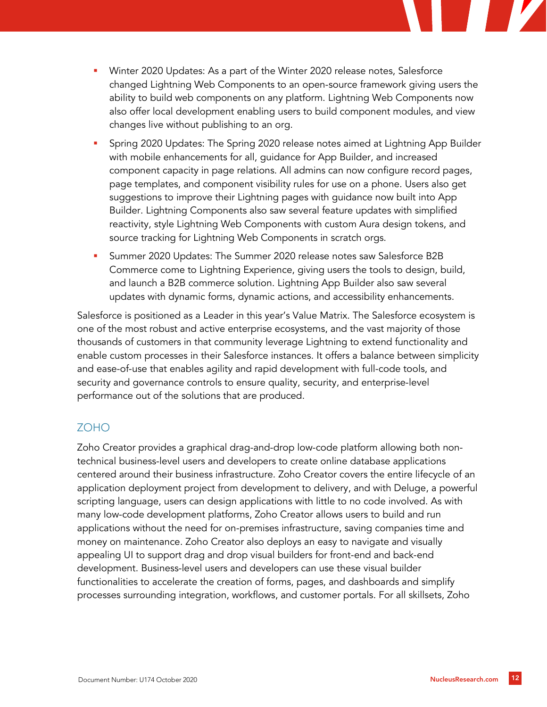

- Spring 2020 Updates: The Spring 2020 release notes aimed at Lightning App Builder with mobile enhancements for all, guidance for App Builder, and increased component capacity in page relations. All admins can now configure record pages, page templates, and component visibility rules for use on a phone. Users also get suggestions to improve their Lightning pages with guidance now built into App Builder. Lightning Components also saw several feature updates with simplified reactivity, style Lightning Web Components with custom Aura design tokens, and source tracking for Lightning Web Components in scratch orgs.
- Summer 2020 Updates: The Summer 2020 release notes saw Salesforce B2B Commerce come to Lightning Experience, giving users the tools to design, build, and launch a B2B commerce solution. Lightning App Builder also saw several updates with dynamic forms, dynamic actions, and accessibility enhancements.

Salesforce is positioned as a Leader in this year's Value Matrix. The Salesforce ecosystem is one of the most robust and active enterprise ecosystems, and the vast majority of those thousands of customers in that community leverage Lightning to extend functionality and enable custom processes in their Salesforce instances. It offers a balance between simplicity and ease-of-use that enables agility and rapid development with full-code tools, and security and governance controls to ensure quality, security, and enterprise-level performance out of the solutions that are produced.

## ZOHO

Zoho Creator provides a graphical drag-and-drop low-code platform allowing both nontechnical business-level users and developers to create online database applications centered around their business infrastructure. Zoho Creator covers the entire lifecycle of an application deployment project from development to delivery, and with Deluge, a powerful scripting language, users can design applications with little to no code involved. As with many low-code development platforms, Zoho Creator allows users to build and run applications without the need for on-premises infrastructure, saving companies time and money on maintenance. Zoho Creator also deploys an easy to navigate and visually appealing UI to support drag and drop visual builders for front-end and back-end development. Business-level users and developers can use these visual builder functionalities to accelerate the creation of forms, pages, and dashboards and simplify processes surrounding integration, workflows, and customer portals. For all skillsets, Zoho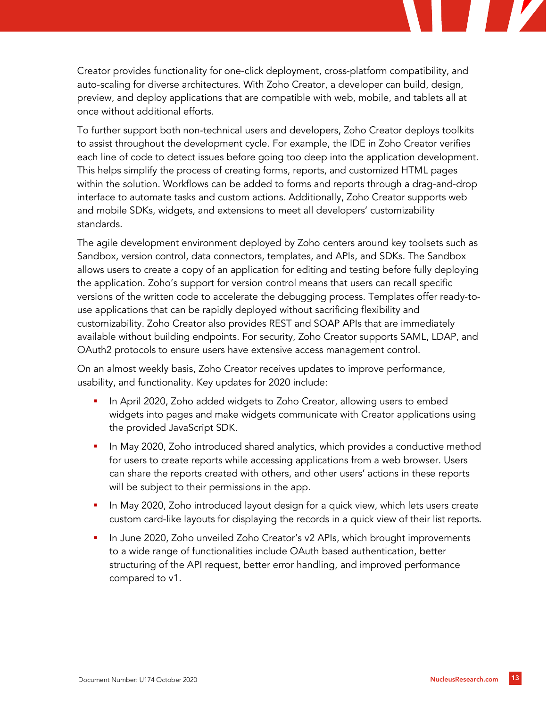Creator provides functionality for one-click deployment, cross-platform compatibility, and auto-scaling for diverse architectures. With Zoho Creator, a developer can build, design, preview, and deploy applications that are compatible with web, mobile, and tablets all at once without additional efforts.

To further support both non-technical users and developers, Zoho Creator deploys toolkits to assist throughout the development cycle. For example, the IDE in Zoho Creator verifies each line of code to detect issues before going too deep into the application development. This helps simplify the process of creating forms, reports, and customized HTML pages within the solution. Workflows can be added to forms and reports through a drag-and-drop interface to automate tasks and custom actions. Additionally, Zoho Creator supports web and mobile SDKs, widgets, and extensions to meet all developers' customizability standards.

The agile development environment deployed by Zoho centers around key toolsets such as Sandbox, version control, data connectors, templates, and APIs, and SDKs. The Sandbox allows users to create a copy of an application for editing and testing before fully deploying the application. Zoho's support for version control means that users can recall specific versions of the written code to accelerate the debugging process. Templates offer ready-touse applications that can be rapidly deployed without sacrificing flexibility and customizability. Zoho Creator also provides REST and SOAP APIs that are immediately available without building endpoints. For security, Zoho Creator supports SAML, LDAP, and OAuth2 protocols to ensure users have extensive access management control.

On an almost weekly basis, Zoho Creator receives updates to improve performance, usability, and functionality. Key updates for 2020 include:

- In April 2020, Zoho added widgets to Zoho Creator, allowing users to embed widgets into pages and make widgets communicate with Creator applications using the provided JavaScript SDK.
- In May 2020, Zoho introduced shared analytics, which provides a conductive method for users to create reports while accessing applications from a web browser. Users can share the reports created with others, and other users' actions in these reports will be subject to their permissions in the app.
- **In May 2020, Zoho introduced layout design for a quick view, which lets users create** custom card-like layouts for displaying the records in a quick view of their list reports.
- In June 2020, Zoho unveiled Zoho Creator's v2 APIs, which brought improvements to a wide range of functionalities include OAuth based authentication, better structuring of the API request, better error handling, and improved performance compared to v1.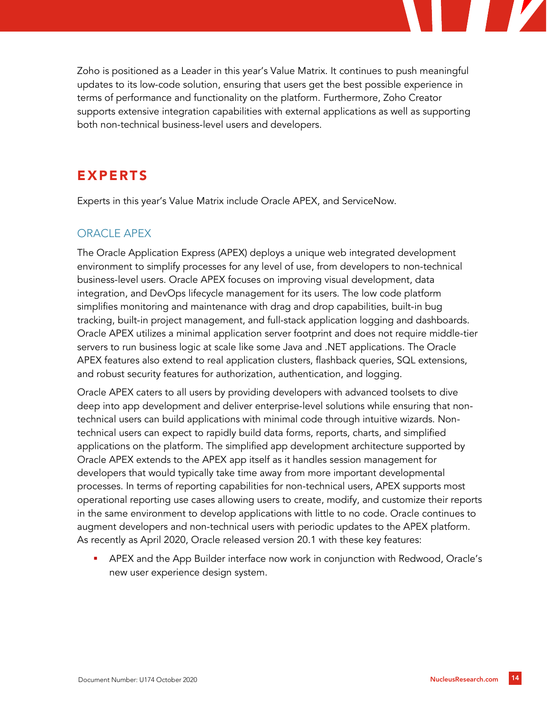

Zoho is positioned as a Leader in this year's Value Matrix. It continues to push meaningful updates to its low-code solution, ensuring that users get the best possible experience in terms of performance and functionality on the platform. Furthermore, Zoho Creator supports extensive integration capabilities with external applications as well as supporting both non-technical business-level users and developers.

# EXPERTS

Experts in this year's Value Matrix include Oracle APEX, and ServiceNow.

## ORACLE APEX

The Oracle Application Express (APEX) deploys a unique web integrated development environment to simplify processes for any level of use, from developers to non-technical business-level users. Oracle APEX focuses on improving visual development, data integration, and DevOps lifecycle management for its users. The low code platform simplifies monitoring and maintenance with drag and drop capabilities, built-in bug tracking, built-in project management, and full-stack application logging and dashboards. Oracle APEX utilizes a minimal application server footprint and does not require middle-tier servers to run business logic at scale like some Java and .NET applications. The Oracle APEX features also extend to real application clusters, flashback queries, SQL extensions, and robust security features for authorization, authentication, and logging.

Oracle APEX caters to all users by providing developers with advanced toolsets to dive deep into app development and deliver enterprise-level solutions while ensuring that nontechnical users can build applications with minimal code through intuitive wizards. Nontechnical users can expect to rapidly build data forms, reports, charts, and simplified applications on the platform. The simplified app development architecture supported by Oracle APEX extends to the APEX app itself as it handles session management for developers that would typically take time away from more important developmental processes. In terms of reporting capabilities for non-technical users, APEX supports most operational reporting use cases allowing users to create, modify, and customize their reports in the same environment to develop applications with little to no code. Oracle continues to augment developers and non-technical users with periodic updates to the APEX platform. As recently as April 2020, Oracle released version 20.1 with these key features:

 APEX and the App Builder interface now work in conjunction with Redwood, Oracle's new user experience design system.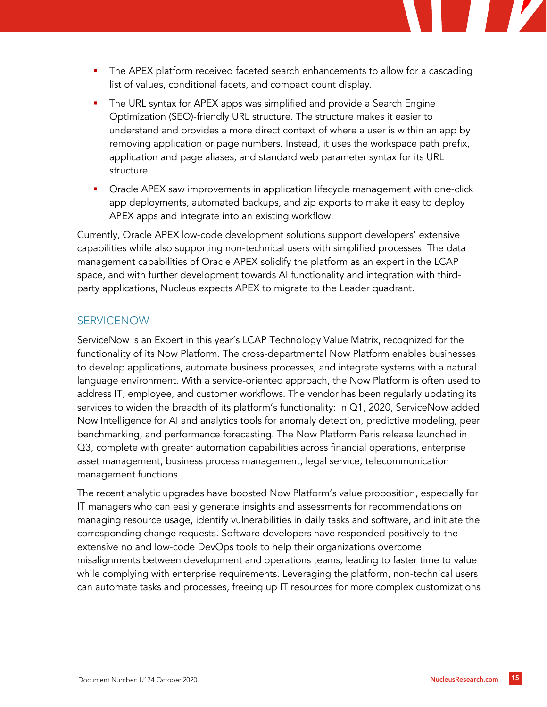

- The URL syntax for APEX apps was simplified and provide a Search Engine Optimization (SEO)-friendly URL structure. The structure makes it easier to understand and provides a more direct context of where a user is within an app by removing application or page numbers. Instead, it uses the workspace path prefix, application and page aliases, and standard web parameter syntax for its URL structure.
- **•** Oracle APEX saw improvements in application lifecycle management with one-click app deployments, automated backups, and zip exports to make it easy to deploy APEX apps and integrate into an existing workflow.

Currently, Oracle APEX low-code development solutions support developers' extensive capabilities while also supporting non-technical users with simplified processes. The data management capabilities of Oracle APEX solidify the platform as an expert in the LCAP space, and with further development towards AI functionality and integration with thirdparty applications, Nucleus expects APEX to migrate to the Leader quadrant.

## SERVICENOW

ServiceNow is an Expert in this year's LCAP Technology Value Matrix, recognized for the functionality of its Now Platform. The cross-departmental Now Platform enables businesses to develop applications, automate business processes, and integrate systems with a natural language environment. With a service-oriented approach, the Now Platform is often used to address IT, employee, and customer workflows. The vendor has been regularly updating its services to widen the breadth of its platform's functionality: In Q1, 2020, ServiceNow added Now Intelligence for AI and analytics tools for anomaly detection, predictive modeling, peer benchmarking, and performance forecasting. The Now Platform Paris release launched in Q3, complete with greater automation capabilities across financial operations, enterprise asset management, business process management, legal service, telecommunication management functions.

The recent analytic upgrades have boosted Now Platform's value proposition, especially for IT managers who can easily generate insights and assessments for recommendations on managing resource usage, identify vulnerabilities in daily tasks and software, and initiate the corresponding change requests. Software developers have responded positively to the extensive no and low-code DevOps tools to help their organizations overcome misalignments between development and operations teams, leading to faster time to value while complying with enterprise requirements. Leveraging the platform, non-technical users can automate tasks and processes, freeing up IT resources for more complex customizations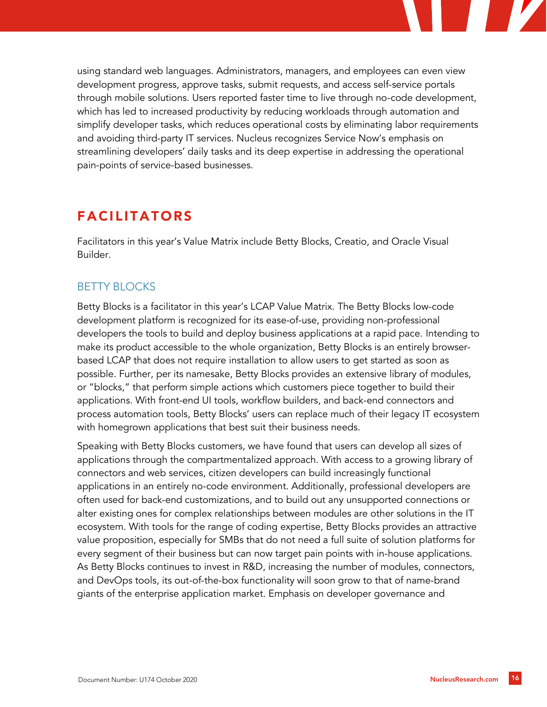

# FACILITATORS

Facilitators in this year's Value Matrix include Betty Blocks, Creatio, and Oracle Visual Builder.

#### BETTY BLOCKS

Betty Blocks is a facilitator in this year's LCAP Value Matrix. The Betty Blocks low-code development platform is recognized for its ease-of-use, providing non-professional developers the tools to build and deploy business applications at a rapid pace. Intending to make its product accessible to the whole organization, Betty Blocks is an entirely browserbased LCAP that does not require installation to allow users to get started as soon as possible. Further, per its namesake, Betty Blocks provides an extensive library of modules, or "blocks," that perform simple actions which customers piece together to build their applications. With front-end UI tools, workflow builders, and back-end connectors and process automation tools, Betty Blocks' users can replace much of their legacy IT ecosystem with homegrown applications that best suit their business needs.

Speaking with Betty Blocks customers, we have found that users can develop all sizes of applications through the compartmentalized approach. With access to a growing library of connectors and web services, citizen developers can build increasingly functional applications in an entirely no-code environment. Additionally, professional developers are often used for back-end customizations, and to build out any unsupported connections or alter existing ones for complex relationships between modules are other solutions in the IT ecosystem. With tools for the range of coding expertise, Betty Blocks provides an attractive value proposition, especially for SMBs that do not need a full suite of solution platforms for every segment of their business but can now target pain points with in-house applications. As Betty Blocks continues to invest in R&D, increasing the number of modules, connectors, and DevOps tools, its out-of-the-box functionality will soon grow to that of name-brand giants of the enterprise application market. Emphasis on developer governance and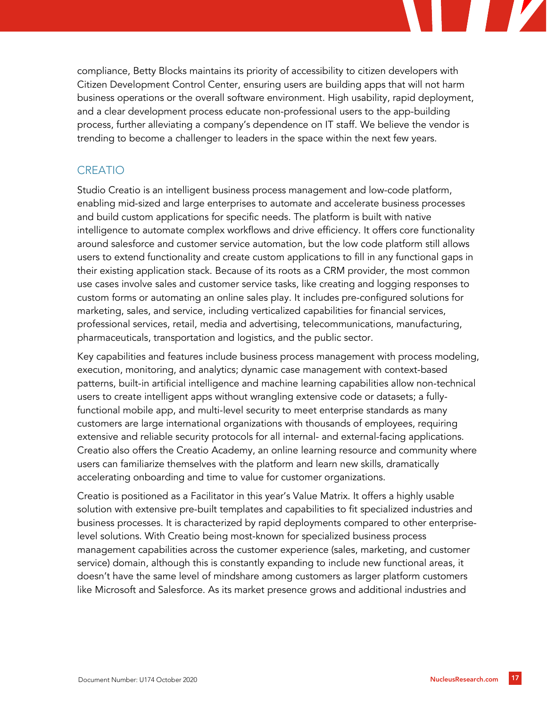compliance, Betty Blocks maintains its priority of accessibility to citizen developers with Citizen Development Control Center, ensuring users are building apps that will not harm business operations or the overall software environment. High usability, rapid deployment, and a clear development process educate non-professional users to the app-building process, further alleviating a company's dependence on IT staff. We believe the vendor is trending to become a challenger to leaders in the space within the next few years.

## CREATIO

Studio Creatio is an intelligent business process management and low-code platform, enabling mid-sized and large enterprises to automate and accelerate business processes and build custom applications for specific needs. The platform is built with native intelligence to automate complex workflows and drive efficiency. It offers core functionality around salesforce and customer service automation, but the low code platform still allows users to extend functionality and create custom applications to fill in any functional gaps in their existing application stack. Because of its roots as a CRM provider, the most common use cases involve sales and customer service tasks, like creating and logging responses to custom forms or automating an online sales play. It includes pre-configured solutions for marketing, sales, and service, including verticalized capabilities for financial services, professional services, retail, media and advertising, telecommunications, manufacturing, pharmaceuticals, transportation and logistics, and the public sector.

Key capabilities and features include business process management with process modeling, execution, monitoring, and analytics; dynamic case management with context-based patterns, built-in artificial intelligence and machine learning capabilities allow non-technical users to create intelligent apps without wrangling extensive code or datasets; a fullyfunctional mobile app, and multi-level security to meet enterprise standards as many customers are large international organizations with thousands of employees, requiring extensive and reliable security protocols for all internal- and external-facing applications. Creatio also offers the Creatio Academy, an online learning resource and community where users can familiarize themselves with the platform and learn new skills, dramatically accelerating onboarding and time to value for customer organizations.

Creatio is positioned as a Facilitator in this year's Value Matrix. It offers a highly usable solution with extensive pre-built templates and capabilities to fit specialized industries and business processes. It is characterized by rapid deployments compared to other enterpriselevel solutions. With Creatio being most-known for specialized business process management capabilities across the customer experience (sales, marketing, and customer service) domain, although this is constantly expanding to include new functional areas, it doesn't have the same level of mindshare among customers as larger platform customers like Microsoft and Salesforce. As its market presence grows and additional industries and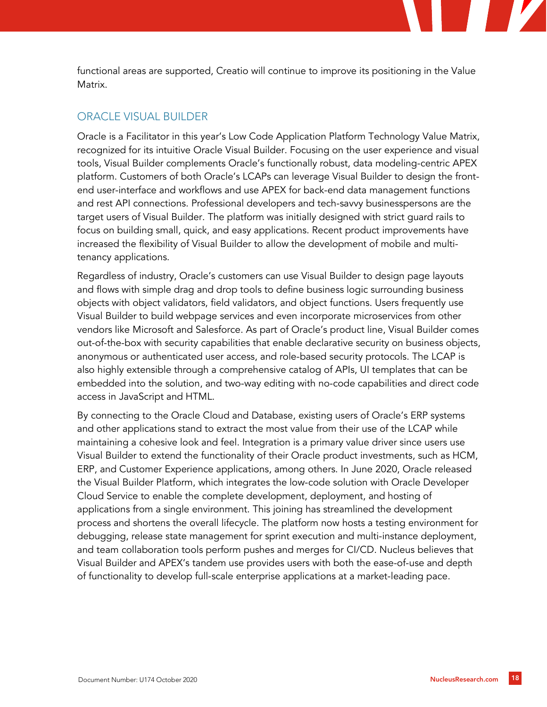functional areas are supported, Creatio will continue to improve its positioning in the Value Matrix.

#### ORACLE VISUAL BUILDER

Oracle is a Facilitator in this year's Low Code Application Platform Technology Value Matrix, recognized for its intuitive Oracle Visual Builder. Focusing on the user experience and visual tools, Visual Builder complements Oracle's functionally robust, data modeling-centric APEX platform. Customers of both Oracle's LCAPs can leverage Visual Builder to design the frontend user-interface and workflows and use APEX for back-end data management functions and rest API connections. Professional developers and tech-savvy businesspersons are the target users of Visual Builder. The platform was initially designed with strict guard rails to focus on building small, quick, and easy applications. Recent product improvements have increased the flexibility of Visual Builder to allow the development of mobile and multitenancy applications.

Regardless of industry, Oracle's customers can use Visual Builder to design page layouts and flows with simple drag and drop tools to define business logic surrounding business objects with object validators, field validators, and object functions. Users frequently use Visual Builder to build webpage services and even incorporate microservices from other vendors like Microsoft and Salesforce. As part of Oracle's product line, Visual Builder comes out-of-the-box with security capabilities that enable declarative security on business objects, anonymous or authenticated user access, and role-based security protocols. The LCAP is also highly extensible through a comprehensive catalog of APIs, UI templates that can be embedded into the solution, and two-way editing with no-code capabilities and direct code access in JavaScript and HTML.

By connecting to the Oracle Cloud and Database, existing users of Oracle's ERP systems and other applications stand to extract the most value from their use of the LCAP while maintaining a cohesive look and feel. Integration is a primary value driver since users use Visual Builder to extend the functionality of their Oracle product investments, such as HCM, ERP, and Customer Experience applications, among others. In June 2020, Oracle released the Visual Builder Platform, which integrates the low-code solution with Oracle Developer Cloud Service to enable the complete development, deployment, and hosting of applications from a single environment. This joining has streamlined the development process and shortens the overall lifecycle. The platform now hosts a testing environment for debugging, release state management for sprint execution and multi-instance deployment, and team collaboration tools perform pushes and merges for CI/CD. Nucleus believes that Visual Builder and APEX's tandem use provides users with both the ease-of-use and depth of functionality to develop full-scale enterprise applications at a market-leading pace.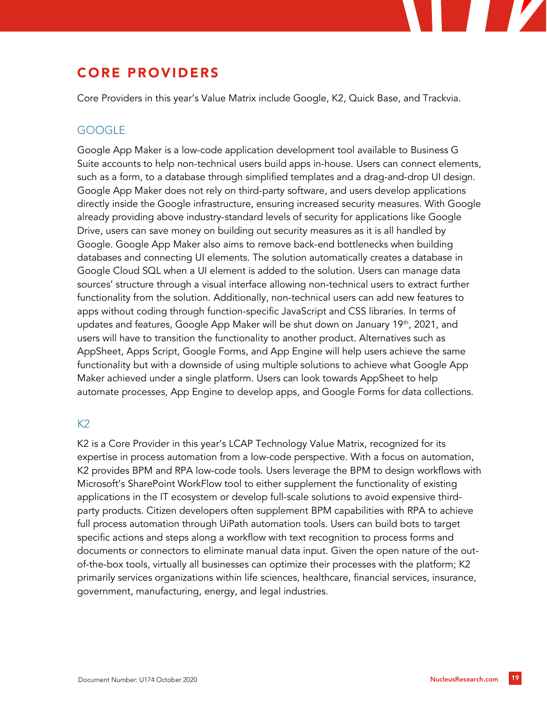# CORE PROVIDERS

Core Providers in this year's Value Matrix include Google, K2, Quick Base, and Trackvia.

## **GOOGLE**

Google App Maker is a low-code application development tool available to Business G Suite accounts to help non-technical users build apps in-house. Users can connect elements, such as a form, to a database through simplified templates and a drag-and-drop UI design. Google App Maker does not rely on third-party software, and users develop applications directly inside the Google infrastructure, ensuring increased security measures. With Google already providing above industry-standard levels of security for applications like Google Drive, users can save money on building out security measures as it is all handled by Google. Google App Maker also aims to remove back-end bottlenecks when building databases and connecting UI elements. The solution automatically creates a database in Google Cloud SQL when a UI element is added to the solution. Users can manage data sources' structure through a visual interface allowing non-technical users to extract further functionality from the solution. Additionally, non-technical users can add new features to apps without coding through function-specific JavaScript and CSS libraries. In terms of updates and features, Google App Maker will be shut down on January 19<sup>th</sup>, 2021, and users will have to transition the functionality to another product. Alternatives such as AppSheet, Apps Script, Google Forms, and App Engine will help users achieve the same functionality but with a downside of using multiple solutions to achieve what Google App Maker achieved under a single platform. Users can look towards AppSheet to help automate processes, App Engine to develop apps, and Google Forms for data collections.

#### $K<sub>2</sub>$

K2 is a Core Provider in this year's LCAP Technology Value Matrix, recognized for its expertise in process automation from a low-code perspective. With a focus on automation, K2 provides BPM and RPA low-code tools. Users leverage the BPM to design workflows with Microsoft's SharePoint WorkFlow tool to either supplement the functionality of existing applications in the IT ecosystem or develop full-scale solutions to avoid expensive thirdparty products. Citizen developers often supplement BPM capabilities with RPA to achieve full process automation through UiPath automation tools. Users can build bots to target specific actions and steps along a workflow with text recognition to process forms and documents or connectors to eliminate manual data input. Given the open nature of the outof-the-box tools, virtually all businesses can optimize their processes with the platform; K2 primarily services organizations within life sciences, healthcare, financial services, insurance, government, manufacturing, energy, and legal industries.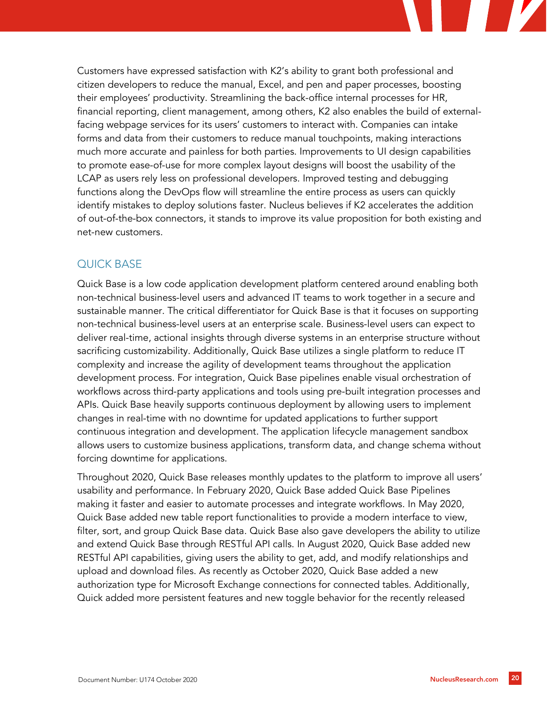

### QUICK BASE

Quick Base is a low code application development platform centered around enabling both non-technical business-level users and advanced IT teams to work together in a secure and sustainable manner. The critical differentiator for Quick Base is that it focuses on supporting non-technical business-level users at an enterprise scale. Business-level users can expect to deliver real-time, actional insights through diverse systems in an enterprise structure without sacrificing customizability. Additionally, Quick Base utilizes a single platform to reduce IT complexity and increase the agility of development teams throughout the application development process. For integration, Quick Base pipelines enable visual orchestration of workflows across third-party applications and tools using pre-built integration processes and APIs. Quick Base heavily supports continuous deployment by allowing users to implement changes in real-time with no downtime for updated applications to further support continuous integration and development. The application lifecycle management sandbox allows users to customize business applications, transform data, and change schema without forcing downtime for applications.

Throughout 2020, Quick Base releases monthly updates to the platform to improve all users' usability and performance. In February 2020, Quick Base added Quick Base Pipelines making it faster and easier to automate processes and integrate workflows. In May 2020, Quick Base added new table report functionalities to provide a modern interface to view, filter, sort, and group Quick Base data. Quick Base also gave developers the ability to utilize and extend Quick Base through RESTful API calls. In August 2020, Quick Base added new RESTful API capabilities, giving users the ability to get, add, and modify relationships and upload and download files. As recently as October 2020, Quick Base added a new authorization type for Microsoft Exchange connections for connected tables. Additionally, Quick added more persistent features and new toggle behavior for the recently released